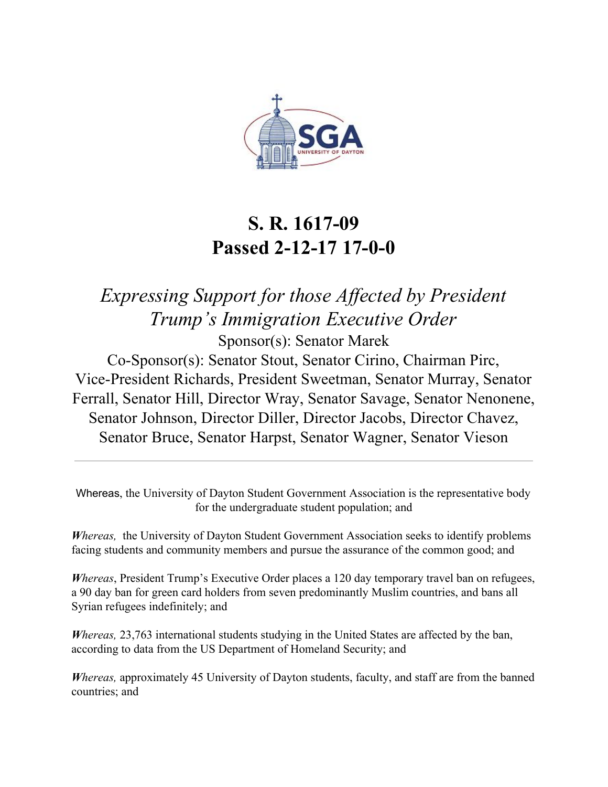

## **S. R. 1617-09 Passed 2-12-17 17-0-0**

*Expressing Support for those Affected by President Trump's Immigration Executive Order* Sponsor(s): Senator Marek

Co-Sponsor(s): Senator Stout, Senator Cirino, Chairman Pirc, Vice-President Richards, President Sweetman, Senator Murray, Senator Ferrall, Senator Hill, Director Wray, Senator Savage, Senator Nenonene, Senator Johnson, Director Diller, Director Jacobs, Director Chavez, Senator Bruce, Senator Harpst, Senator Wagner, Senator Vieson

Whereas, the University of Dayton Student Government Association is the representative body for the undergraduate student population; and

 *Whereas,* the University of Dayton Student Government Association seeks to identify problems facing students and community members and pursue the assurance of the common good; and

 *Whereas*, President Trump's Executive Order places a 120 day temporary travel ban on refugees, a 90 day ban for green card holders from seven predominantly Muslim countries, and bans all Syrian refugees indefinitely; and

*Whereas, 23,763* international students studying in the United States are affected by the ban, according to data from the US Department of Homeland Security; and

*Whereas, approximately 45 University of Dayton students, faculty, and staff are from the banned* countries; and